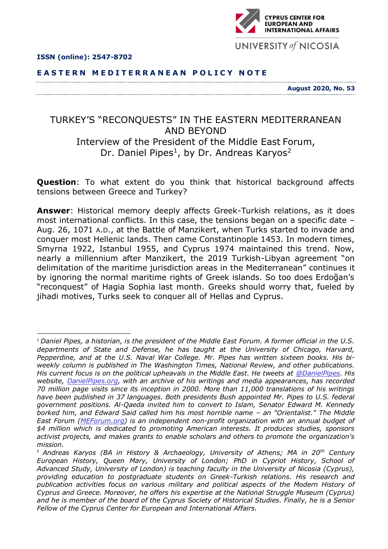



**E A S T E R N M E D I T E R R A N E A N P O L I C Y N O T E**

**August 2020, No. 53**

## TURKEY'S "RECONQUESTS" IN THE EASTERN MEDITERRANEAN AND BEYOND Interview of the President of the Middle East Forum, Dr. Daniel Pipes<sup>1</sup>, by Dr. Andreas Karyos<sup>2</sup>

**Question**: To what extent do you think that historical background affects tensions between Greece and Turkey?

**Answer**: Historical memory deeply affects Greek-Turkish relations, as it does most international conflicts. In this case, the tensions began on a specific date – Aug. 26, 1071 A.D., at the Battle of Manzikert, when Turks started to invade and conquer most Hellenic lands. Then came Constantinople 1453. In modern times, Smyrna 1922, Istanbul 1955, and Cyprus 1974 maintained this trend. Now, nearly a millennium after Manzikert, the 2019 Turkish-Libyan agreement "on delimitation of the maritime jurisdiction areas in the Mediterranean" continues it by ignoring the normal maritime rights of Greek islands. So too does Erdoğan's "reconquest" of Hagia Sophia last month. Greeks should worry that, fueled by iihadi motives, Turks seek to conquer all of Hellas and Cyprus.

<sup>1</sup> *Daniel Pipes, a historian, is the president of the Middle East Forum. A former official in the U.S. departments of State and Defense, he has taught at the University of Chicago, Harvard, Pepperdine, and at the U.S. Naval War College. Mr. Pipes has written sixteen books. His biweekly column is published in The Washington Times, National Review, and other publications. His current focus is on the political upheavals in the Middle East. He tweets at [@DanielPipes.](https://twitter.com/DanielPipes) His website, [DanielPipes.org,](http://www.danielpipes.org/) with an archive of his writings and media appearances, has recorded 70 million page visits since its inception in 2000. More than 11,000 translations of his writings have been published in 37 languages. Both presidents Bush appointed Mr. Pipes to U.S. federal government positions. Al-Qaeda invited him to convert to Islam, Senator Edward M. Kennedy borked him, and Edward Said called him his most horrible name – an "Orientalist." The Middle East Forum [\(MEForum.org\)](http://www.meforum.org/) is an independent non-profit organization with an annual budget of \$4 million which is dedicated to promoting American interests. It produces studies, sponsors activist projects, and makes grants to enable scholars and others to promote the organization's mission.*

<sup>2</sup> *Andreas Karyos (BA in History & Archaeology, University of Athens; MA in 20th Century European History, Queen Mary, University of London; PhD in Cypriot History, School of Advanced Study, University of London) is teaching faculty in the University of Nicosia (Cyprus), providing education to postgraduate students on Greek-Turkish relations. His research and publication activities focus on various military and political aspects of the Modern History of Cyprus and Greece. Moreover, he offers his expertise at the National Struggle Museum (Cyprus) and he is member of the board of the Cyprus Society of Historical Studies. Finally, he is a Senior Fellow of the Cyprus Center for European and International Affairs.*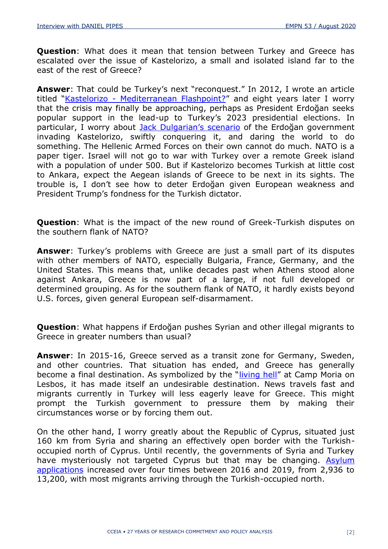**Question:** What does it mean that tension between Turkey and Greece has escalated over the issue of Kastelorizo, a small and isolated island far to the east of the rest of Greece?

**Answer**: That could be Turkey's next "reconquest." In 2012, I wrote an article titled "Kastelorizo - [Mediterranean Flashpoint?](http://www.danielpipes.org/10630/kastelorizo)" and eight years later I worry that the crisis may finally be approaching, perhaps as President Erdoğan seeks popular support in the lead-up to Turkey's 2023 presidential elections. In particular, I worry about [Jack Dulgarian's scenario](https://globalsecurityreview.com/kastellorizo-key-to-turkish-greek-ambitions-eastern-mediterranean/) of the Erdoğan government invading Kastelorizo, swiftly conquering it, and daring the world to do something. The Hellenic Armed Forces on their own cannot do much. NATO is a paper tiger. Israel will not go to war with Turkey over a remote Greek island with a population of under 500. But if Kastelorizo becomes Turkish at little cost to Ankara, expect the Aegean islands of Greece to be next in its sights. The trouble is, I don't see how to deter Erdoğan given European weakness and President Trump's fondness for the Turkish dictator.

**Question**: What is the impact of the new round of Greek-Turkish disputes on the southern flank of NATO?

**Answer**: Turkey's problems with Greece are just a small part of its disputes with other members of NATO, especially Bulgaria, France, Germany, and the United States. This means that, unlike decades past when Athens stood alone against Ankara, Greece is now part of a large, if not full developed or determined grouping. As for the southern flank of NATO, it hardly exists beyond U.S. forces, given general European self-disarmament.

**Question**: What happens if Erdoğan pushes Syrian and other illegal migrants to Greece in greater numbers than usual?

**Answer**: In 2015-16, Greece served as a transit zone for Germany, Sweden, and other countries. That situation has ended, and Greece has generally become a final destination. As symbolized by the "[living hell](https://www.theguardian.com/world/2020/feb/09/moria-refugee-camp-doctors-story-lesbos-greece)" at Camp Moria on Lesbos, it has made itself an undesirable destination. News travels fast and migrants currently in Turkey will less eagerly leave for Greece. This might prompt the Turkish government to pressure them by making their circumstances worse or by forcing them out.

On the other hand, I worry greatly about the Republic of Cyprus, situated just 160 km from Syria and sharing an effectively open border with the Turkishoccupied north of Cyprus. Until recently, the governments of Syria and Turkey have mysteriously not targeted Cyprus but that may be changing. Asylum [applications](https://ahvalnews.com/cyprus-migrants/cyprus-becoming-new-eu-refugee-haven-migrant-numbers-multiply) increased over four times between 2016 and 2019, from 2,936 to 13,200, with most migrants arriving through the Turkish-occupied north.